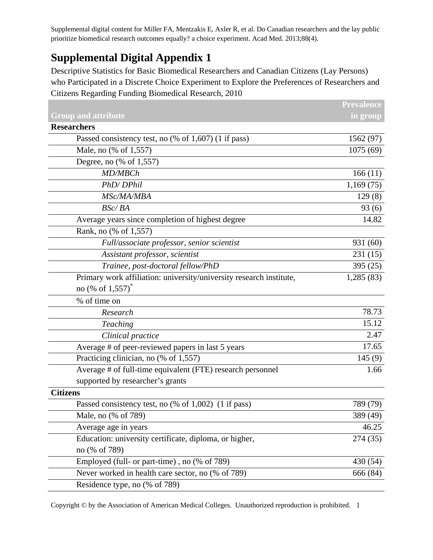Supplemental digital content for Miller FA, Mentzakis E, Axler R, et al. Do Canadian researchers and the lay public prioritize biomedical research outcomes equally? a choice experiment. Acad Med. 2013;88(4).

## **Supplemental Digital Appendix 1**

Descriptive Statistics for Basic Biomedical Researchers and Canadian Citizens (Lay Persons) who Participated in a Discrete Choice Experiment to Explore the Preferences of Researchers and Citizens Regarding Funding Biomedical Research, 2010

|                                                                     | <b>Prevalence</b> |
|---------------------------------------------------------------------|-------------------|
| <b>Group and attribute</b>                                          | in group          |
| <b>Researchers</b>                                                  |                   |
| Passed consistency test, no (% of 1,607) (1 if pass)                | 1562 (97)         |
| Male, no (% of 1,557)                                               | 1075(69)          |
| Degree, no $(\%$ of 1,557)                                          |                   |
| MD/MBCh                                                             | 166(11)           |
| PhD/DPhil                                                           | 1,169(75)         |
| MSc/MA/MBA                                                          | 129(8)            |
| BSc/BA                                                              | 93(6)             |
| Average years since completion of highest degree                    | 14.82             |
| Rank, no (% of 1,557)                                               |                   |
| Full/associate professor, senior scientist                          | 931 (60)          |
| Assistant professor, scientist                                      | 231(15)           |
| Trainee, post-doctoral fellow/PhD                                   | 395(25)           |
| Primary work affiliation: university/university research institute, | 1,285(83)         |
| no (% of 1,557) <sup>*</sup>                                        |                   |
| % of time on                                                        |                   |
| Research                                                            | 78.73             |
| Teaching                                                            | 15.12             |
| Clinical practice                                                   | 2.47              |
| Average # of peer-reviewed papers in last 5 years                   | 17.65             |
| Practicing clinician, no (% of 1,557)                               | 145(9)            |
| Average # of full-time equivalent (FTE) research personnel          | 1.66              |
| supported by researcher's grants                                    |                   |
| <b>Citizens</b>                                                     |                   |
| Passed consistency test, no (% of 1,002) (1 if pass)                | 789 (79)          |
| Male, no (% of 789)                                                 | 389 (49)          |
| Average age in years                                                | 46.25             |
| Education: university certificate, diploma, or higher,              | 274(35)           |
| no (% of 789)                                                       |                   |
| Employed (full- or part-time), no (% of 789)                        | 430 (54)          |
| Never worked in health care sector, no (% of 789)                   | 666 (84)          |
| Residence type, no (% of 789)                                       |                   |

Copyright © by the Association of American Medical Colleges. Unauthorized reproduction is prohibited. 1